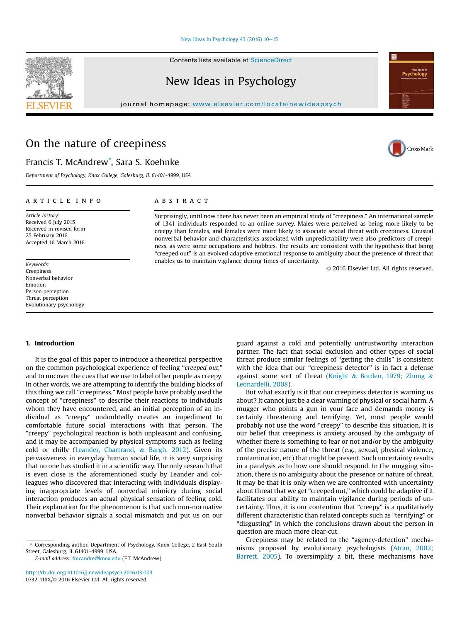#### New Ideas in Psychology  $43$  (2016) 10-15

Contents lists available at ScienceDirect

# New Ideas in Psychology

journal homepage: www.elsevier.com/locate/newideapsych

# On the nature of creepiness

# Francis T. McAndrew\* , Sara S. Koehnke

*Department of Psychology, Knox College, Galesburg, IL 61401-4999, USA*

#### article info

*Article history:* Received 6 July 2015 Received in revised form 25 February 2016 Accepted 16 March 2016

*Keywords:* **Creepiness** Nonverbal behavior Emotion Person perception Threat perception Evolutionary psychology

1. Introduction

#### **ABSTRACT**

Surprisingly, until now there has never been an empirical study of "creepiness." An international sample of 1341 individuals responded to an online survey. Males were perceived as being more likely to be creepy than females, and females were more likely to associate sexual threat with creepiness. Unusual nonverbal behavior and characteristics associated with unpredictability were also predictors of creepiness, as were some occupations and hobbies. The results are consistent with the hypothesis that being "creeped out" is an evolved adaptive emotional response to ambiguity about the presence of threat that enables us to maintain vigilance during times of uncertainty.

© 2016 Elsevier Ltd. All rights reserved.

guard against a cold and potentially untrustworthy interaction partner. The fact that social exclusion and other types of social threat produce similar feelings of "getting the chills" is consistent with the idea that our "creepiness detector" is in fact a defense against some sort of threat (Knight & Borden, 1979; Zhong & Leonardelli, 2008).

But what exactly is it that our creepiness detector is warning us about? It cannot just be a clear warning of physical or social harm. A mugger who points a gun in your face and demands money is certainly threatening and terrifying. Yet, most people would probably not use the word "creepy" to describe this situation. It is our belief that creepiness is anxiety aroused by the *ambiguity* of whether there is something to fear or not and/or by the ambiguity of the precise nature of the threat (e.g., sexual, physical violence, contamination, etc) that might be present. Such uncertainty results in a paralysis as to how one should respond. In the mugging situation, there is no ambiguity about the presence or nature of threat. It may be that it is only when we are confronted with uncertainty about threat that we get "creeped out," which could be adaptive if it facilitates our ability to maintain vigilance during periods of uncertainty. Thus, it is our contention that "creepy" is a qualitatively different characteristic than related concepts such as "terrifying" or "disgusting" in which the conclusions drawn about the person in question are much more clear-cut.

Creepiness may be related to the "agency-detection" mechanisms proposed by evolutionary psychologists (Atran, 2002; Barrett, 2005). To oversimplify a bit, these mechanisms have

It is the goal of this paper to introduce a theoretical perspective on the common psychological experience of feeling "*creeped out*," and to uncover the cues that we use to label other people as creepy. In other words, we are attempting to identify the building blocks of this thing we call "creepiness." Most people have probably used the concept of "creepiness" to describe their reactions to individuals whom they have encountered, and an initial perception of an individual as "creepy" undoubtedly creates an impediment to comfortable future social interactions with that person. The "creepy" psychological reaction is both unpleasant and confusing, and it may be accompanied by physical symptoms such as feeling cold or chilly (Leander, Chartrand, & Bargh, 2012). Given its pervasiveness in everyday human social life, it is very surprising that no one has studied it in a scientific way. The only research that is even close is the aforementioned study by Leander and colleagues who discovered that interacting with individuals displaying inappropriate levels of nonverbal mimicry during social interaction produces an actual physical sensation of feeling cold. Their explanation for the phenomenon is that such non-normative nonverbal behavior signals a social mismatch and put us on our

0732-118X/© 2016 Elsevier Ltd. All rights reserved.

http://dx.doi.org/10.1016/j.newideapsych.2016.03.003





CrossMark

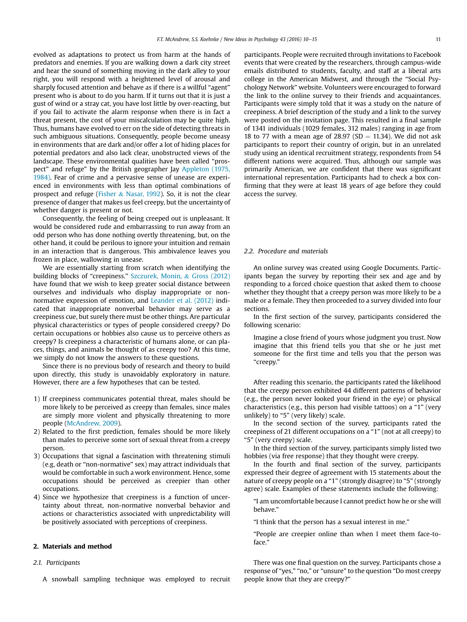evolved as adaptations to protect us from harm at the hands of predators and enemies. If you are walking down a dark city street and hear the sound of something moving in the dark alley to your right, you will respond with a heightened level of arousal and sharply focused attention and behave as if there is a willful "agent" present who is about to do you harm. If it turns out that it is just a gust of wind or a stray cat, you have lost little by over-reacting, but if you fail to activate the alarm response when there is in fact a threat present, the cost of your miscalculation may be quite high. Thus, humans have evolved to err on the side of detecting threats in such ambiguous situations. Consequently, people become uneasy in environments that are dark and/or offer a lot of hiding places for potential predators and also lack clear, unobstructed views of the landscape. These environmental qualities have been called "prospect" and refuge" by the British geographer Jay Appleton (1975, 1984). Fear of crime and a pervasive sense of unease are experienced in environments with less than optimal combinations of prospect and refuge (Fisher & Nasar, 1992). So, it is not the clear presence of danger that makes us feel creepy, but the uncertainty of whether danger is present or not.

Consequently, the feeling of being creeped out is unpleasant. It would be considered rude and embarrassing to run away from an odd person who has done nothing overtly threatening, but, on the other hand, it could be perilous to ignore your intuition and remain in an interaction that is dangerous. This ambivalence leaves you frozen in place, wallowing in unease.

We are essentially starting from scratch when identifying the building blocks of "creepiness." Szczurek, Monin, & Gross (2012) have found that we wish to keep greater social distance between ourselves and individuals who display inappropriate or nonnormative expression of emotion, and Leander et al. (2012) indicated that inappropriate nonverbal behavior may serve as a creepiness cue, but surely there must be other things. Are particular physical characteristics or types of people considered creepy? Do certain occupations or hobbies also cause us to perceive others as creepy? Is creepiness a characteristic of humans alone, or can places, things, and animals be thought of as creepy too? At this time, we simply do not know the answers to these questions.

Since there is no previous body of research and theory to build upon directly, this study is unavoidably exploratory in nature. However, there are a few hypotheses that can be tested.

- 1) If creepiness communicates potential threat, males should be more likely to be perceived as creepy than females, since males are simply more violent and physically threatening to more people (McAndrew, 2009).
- 2) Related to the first prediction, females should be more likely than males to perceive some sort of sexual threat from a creepy person.
- 3) Occupations that signal a fascination with threatening stimuli (e.g, death or "non-normative" sex) may attract individuals that would be comfortable in such a work environment. Hence, some occupations should be perceived as creepier than other occupations.
- 4) Since we hypothesize that creepiness is a function of uncertainty about threat, non-normative nonverbal behavior and actions or characteristics associated with unpredictability will be positively associated with perceptions of creepiness.

#### 2. Materials and method

## *2.1. Participants*

A snowball sampling technique was employed to recruit

participants. People were recruited through invitations to Facebook events that were created by the researchers, through campus-wide emails distributed to students, faculty, and staff at a liberal arts college in the American Midwest, and through the "Social Psychology Network" website. Volunteers were encouraged to forward the link to the online survey to their friends and acquaintances. Participants were simply told that it was a study on the nature of creepiness. A brief description of the study and a link to the survey were posted on the invitation page. This resulted in a final sample of 1341 individuals (1029 females, 312 males) ranging in age from 18 to 77 with a mean age of 28.97 (SD  $=$  11.34). We did not ask participants to report their country of origin, but in an unrelated study using an identical recruitment strategy, respondents from 54 different nations were acquired. Thus, although our sample was primarily American, we are confident that there was significant international representation. Participants had to check a box confirming that they were at least 18 years of age before they could access the survey.

## *2.2. Procedure and materials*

An online survey was created using Google Documents. Participants began the survey by reporting their sex and age and by responding to a forced choice question that asked them to choose whether they thought that a creepy person was more likely to be a male or a female. They then proceeded to a survey divided into four sections.

In the first section of the survey, participants considered the following scenario:

Imagine a close friend of yours whose judgment you trust. Now imagine that this friend tells you that she or he just met someone for the first time and tells you that the person was "creepy."

After reading this scenario, the participants rated the likelihood that the creepy person exhibited 44 different patterns of behavior (e.g., the person never looked your friend in the eye) or physical characteristics (e.g., this person had visible tattoos) on a "1" (very unlikely) to "5" (very likely) scale.

In the second section of the survey, participants rated the creepiness of 21 different occupations on a "1" (not at all creepy) to "5" (very creepy) scale.

In the third section of the survey, participants simply listed two hobbies (via free response) that they thought were creepy.

In the fourth and final section of the survey, participants expressed their degree of agreement with 15 statements about the nature of creepy people on a "1" (strongly disagree) to "5" (strongly agree) scale. Examples of these statements include the following:

"I am uncomfortable because I cannot predict how he or she will behave."

"I think that the person has a sexual interest in me."

"People are creepier online than when I meet them face-toface."

There was one final question on the survey. Participants chose a response of "yes," "no," or "unsure" to the question "Do most creepy people know that they are creepy?"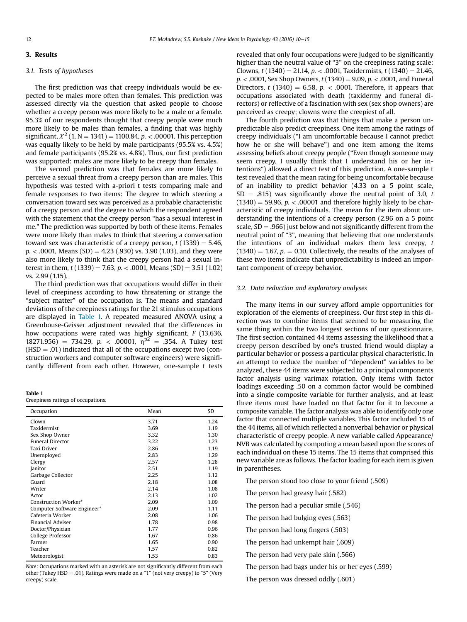# 3. Results

### *3.1. Tests of hypotheses*

The first prediction was that creepy individuals would be expected to be males more often than females. This prediction was assessed directly via the question that asked people to choose whether a creepy person was more likely to be a male or a female. 95.3% of our respondents thought that creepy people were much more likely to be males than females, a finding that was highly significant,  $X^2$  (1, N = 1341) = 1100.84, p. < .00001. This perception was equally likely to be held by male participants (95.5% vs. 4.5%) and female participants (95.2% vs. 4.8%). Thus, our first prediction was supported: males are more likely to be creepy than females.

The second prediction was that females are more likely to perceive a sexual threat from a creepy person than are males. This hypothesis was tested with a-priori t tests comparing male and female responses to two items: The degree to which steering a conversation toward sex was perceived as a probable characteristic of a creepy person and the degree to which the respondent agreed with the statement that the creepy person "has a sexual interest in me." The prediction was supported by both of these items. Females were more likely than males to think that steering a conversation toward sex was characteristic of a creepy person,  $t(1339) = 5.46$ ,  $p. < .0001$ , Means (SD) = 4.23 (.930) vs. 3.90 (1.03), and they were also more likely to think that the creepy person had a sexual interest in them,  $t(1339) = 7.63$ ,  $p. < .0001$ , Means (SD) = 3.51 (1.02) vs. 2.99 (1.15).

The third prediction was that occupations would differ in their level of creepiness according to how threatening or strange the "subject matter" of the occupation is. The means and standard deviations of the creepiness ratings for the 21 stimulus occupations are displayed in Table 1. A repeated measured ANOVA using a Greenhouse-Geisser adjustment revealed that the differences in how occupations were rated was highly significant, *F* (13.636, 18271.956) = 734.29, *p.* < .00001,  $\eta^{p2}$  = .354. A Tukey test  $(HSD = .01)$  indicated that all of the occupations except two (construction workers and computer software engineers) were significantly different from each other. However, one-sample t tests

|  |  |  | Creepiness ratings of occupation |
|--|--|--|----------------------------------|
|--|--|--|----------------------------------|

| Occupation                  | Mean | SD   |
|-----------------------------|------|------|
| Clown                       | 3.71 | 1.24 |
| Taxidermist                 | 3.69 | 1.19 |
| Sex Shop Owner              | 3.32 | 1.30 |
| <b>Funeral Director</b>     | 3.22 | 1.23 |
| Taxi Driver                 | 2.86 | 1.19 |
| Unemployed                  | 2.83 | 1.29 |
| Clergy                      | 2.57 | 1.28 |
| Janitor                     | 2.51 | 1.19 |
| Garbage Collector           | 2.25 | 1.12 |
| Guard                       | 2.18 | 1.08 |
| Writer                      | 2.14 | 1.08 |
| Actor                       | 2.13 | 1.02 |
| Construction Worker*        | 2.09 | 1.09 |
| Computer Software Engineer* | 2.09 | 1.11 |
| Cafeteria Worker            | 2.08 | 1.06 |
| Financial Adviser           | 1.78 | 0.98 |
| Doctor/Physician            | 1.77 | 0.96 |
| College Professor           | 1.67 | 0.86 |
| Farmer                      | 1.65 | 0.90 |
| Teacher                     | 1.57 | 0.82 |
| Meteorologist               | 1.53 | 0.83 |

*Note*: Occupations marked with an asterisk are not significantly different from each other (Tukey HSD  $= .01$ ). Ratings were made on a "1" (not very creepy) to "5" (Very creepy) scale.

revealed that only four occupations were judged to be significantly higher than the neutral value of "3" on the creepiness rating scale: Clowns,  $t(1340) = 21.14$ ,  $p. < .0001$ , Taxidermists,  $t(1340) = 21.46$ ,  $p. < .0001$ , Sex Shop Owners,  $t(1340) = 9.09$ ,  $p. < .0001$ , and Funeral Directors,  $t(1340) = 6.58$ ,  $p. < .0001$ . Therefore, it appears that occupations associated with death (taxidermy and funeral directors) or reflective of a fascination with sex (sex shop owners) are perceived as creepy; clowns were the creepiest of all.

The fourth prediction was that things that make a person unpredictable also predict creepiness. One item among the ratings of creepy individuals ("I am uncomfortable because I cannot predict how he or she will behave") and one item among the items assessing beliefs about creepy people ("Even though someone may seem creepy, I usually think that I understand his or her intentions") allowed a direct test of this prediction. A one-sample t test revealed that the mean rating for being uncomfortable because of an inability to predict behavior (4.33 on a 5 point scale,  $SD = .815$ ) was significantly above the neutral point of 3.0, *t*  $(1340) = 59.96$ ,  $p. < .00001$  and therefore highly likely to be characteristic of creepy individuals. The mean for the item about understanding the intentions of a creepy person (2.96 on a 5 point scale,  $SD = .966$ ) just below and not significantly different from the neutral point of "3", meaning that believing that one understands the intentions of an individual makes them less creepy, *t*  $(1340) = 1.67$ ,  $p. = 0.10$ . Collectively, the results of the analyses of these two items indicate that unpredictability is indeed an important component of creepy behavior.

#### *3.2. Data reduction and exploratory analyses*

The many items in our survey afford ample opportunities for exploration of the elements of creepiness. Our first step in this direction was to combine items that seemed to be measuring the same thing within the two longest sections of our questionnaire. The first section contained 44 items assessing the likelihood that a creepy person described by one's trusted friend would display a particular behavior or possess a particular physical characteristic. In an attempt to reduce the number of "dependent" variables to be analyzed, these 44 items were subjected to a principal components factor analysis using varimax rotation. Only items with factor loadings exceeding .50 on a common factor would be combined into a single composite variable for further analysis, and at least three items must have loaded on that factor for it to become a composite variable. The factor analysis was able to identify only one factor that connected multiple variables. This factor included 15 of the 44 items, all of which reflected a nonverbal behavior or physical characteristic of creepy people. A new variable called Appearance/ NVB was calculated by computing a mean based upon the scores of each individual on these 15 items. The 15 items that comprised this new variable are as follows. The factor loading for each item is given in parentheses.

The person stood too close to your friend (.509)

The person had greasy hair (.582)

The person had a peculiar smile (.546)

- The person had bulging eyes (.563)
- The person had long fingers (.503)
- The person had unkempt hair (.609)
- The person had very pale skin (.566)
- 
- The person had bags under his or her eyes (.599)

The person was dressed oddly (.601)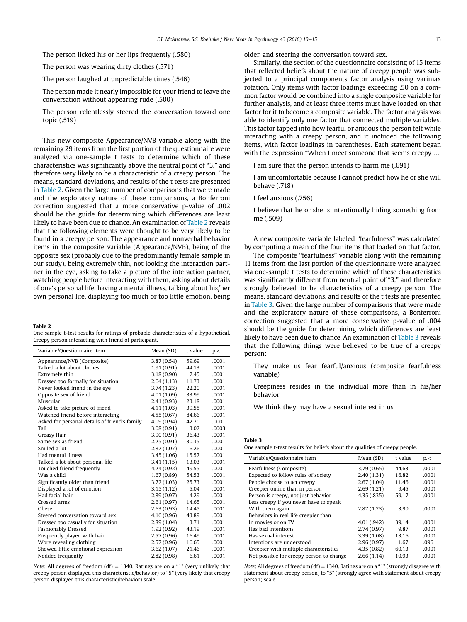The person licked his or her lips frequently (.580)

The person was wearing dirty clothes (.571)

The person laughed at unpredictable times (.546)

The person made it nearly impossible for your friend to leave the conversation without appearing rude (.500)

The person relentlessly steered the conversation toward one topic (.519)

This new composite Appearance/NVB variable along with the remaining 29 items from the first portion of the questionnaire were analyzed via one-sample t tests to determine which of these characteristics was significantly above the neutral point of "3," and therefore very likely to be a characteristic of a creepy person. The means, standard deviations, and results of the t tests are presented in Table 2. Given the large number of comparisons that were made and the exploratory nature of these comparisons, a Bonferroni correction suggested that a more conservative p-value of .002 should be the guide for determining which differences are least likely to have been due to chance. An examination of Table 2 reveals that the following elements were thought to be very likely to be found in a creepy person: The appearance and nonverbal behavior items in the composite variable (Appearance/NVB), being of the opposite sex (probably due to the predominantly female sample in our study), being extremely thin, not looking the interaction partner in the eye, asking to take a picture of the interaction partner, watching people before interacting with them, asking about details of one's personal life, having a mental illness, talking about his/her own personal life, displaying too much or too little emotion, being

#### Table 2

One sample t-test results for ratings of probable characteristics of a hypothetical. Creepy person interacting with friend of participant.

| Variable/Questionnaire item                   | Mean (SD)  | t value | p <   |
|-----------------------------------------------|------------|---------|-------|
| Appearance/NVB (Composite)                    | 3.87(0.54) | 59.69   | .0001 |
| Talked a lot about clothes                    | 1.91(0.91) | 44.13   | .0001 |
| Extremely thin                                | 3.18(0.90) | 7.45    | .0001 |
| Dressed too formally for situation            | 2.64(1.13) | 11.73   | .0001 |
| Never looked friend in the eye                | 3.74(1.23) | 22.20   | .0001 |
| Opposite sex of friend                        | 4.01(1.09) | 33.99   | .0001 |
| Muscular                                      | 2.41(0.93) | 23.18   | .0001 |
| Asked to take picture of friend               | 4.11(1.03) | 39.55   | .0001 |
| Watched friend before interacting             | 4.55(0.67) | 84.66   | .0001 |
| Asked for personal details of friend's family | 4.09(0.94) | 42.70   | .0001 |
| Tall                                          | 3.08(0.91) | 3.02    | .0003 |
| Greasy Hair                                   | 3.90(0.91) | 36.43   | .0001 |
| Same sex as friend                            | 2.25(0.91) | 30.35   | .0001 |
| Smiled a lot                                  | 2.82(1.07) | 6.26    | .0001 |
| Had mental illness                            | 3.45(1.06) | 15.57   | .0001 |
| Talked a lot about personal life              | 3.41(1.15) | 13.03   | .0001 |
| Touched friend frequently                     | 4.24(0.92) | 49.55   | .0001 |
| Was a child                                   | 1.67(0.89) | 54.53   | .0001 |
| Significantly older than friend               | 3.72(1.03) | 25.73   | .0001 |
| Displayed a lot of emotion                    | 3.15(1.12) | 5.04    | .0001 |
| Had facial hair                               | 2.89(0.97) | 4.29    | .0001 |
| Crossed arms                                  | 2.61(0.97) | 14.65   | .0001 |
| Obese                                         | 2.63(0.93) | 14.45   | .0001 |
| Steered conversation toward sex               | 4.16(0.96) | 43.89   | .0001 |
| Dressed too casually for situation            | 2.89(1.04) | 3.71    | .0001 |
| Fashionably Dressed                           | 1.92(0.92) | 43.19   | .0001 |
| Frequently played with hair                   | 2.57(0.96) | 16.49   | .0001 |
| Wore revealing clothing                       | 2.57(0.96) | 16.65   | .0001 |
| Showed little emotional expression            | 3.62(1.07) | 21.46   | .0001 |
| Nodded frequently                             | 2.82(0.98) | 6.61    | .0001 |

*Note*: All degrees of freedom  $(df) = 1340$ . Ratings are on a "1" (very unlikely that creepy person displayed this characteristic/behavior) to "5" (very likely that creepy person displayed this characteristic/behavior) scale.

older, and steering the conversation toward sex.

Similarly, the section of the questionnaire consisting of 15 items that reflected beliefs about the nature of creepy people was subjected to a principal components factor analysis using varimax rotation. Only items with factor loadings exceeding .50 on a common factor would be combined into a single composite variable for further analysis, and at least three items must have loaded on that factor for it to become a composite variable. The factor analysis was able to identify only one factor that connected multiple variables. This factor tapped into how fearful or anxious the person felt while interacting with a creepy person, and it included the following items, with factor loadings in parentheses. Each statement began with the expression "When I meet someone that seems creepy …

I am sure that the person intends to harm me (.691)

I am uncomfortable because I cannot predict how he or she will behave (.718)

I feel anxious (.756)

I believe that he or she is intentionally hiding something from me (.509)

A new composite variable labeled "fearfulness" was calculated by computing a mean of the four items that loaded on that factor.

The composite "fearfulness" variable along with the remaining 11 items from the last portion of the questionnaire were analyzed via one-sample t tests to determine which of these characteristics was significantly different from neutral point of "3," and therefore strongly believed to be characteristics of a creepy person. The means, standard deviations, and results of the t tests are presented in Table 3. Given the large number of comparisons that were made and the exploratory nature of these comparisons, a Bonferroni correction suggested that a more conservative p-value of .004 should be the guide for determining which differences are least likely to have been due to chance. An examination of Table 3 reveals that the following things were believed to be true of a creepy person:

They make us fear fearful/anxious (composite fearfulness variable)

Creepiness resides in the individual more than in his/her behavior

We think they may have a sexual interest in us

One sample t-test results for beliefs about the qualities of creepy people.

| Variable/Questionnaire item              | Mean (SD)   | t value | p.<   |
|------------------------------------------|-------------|---------|-------|
| Fearfulness (Composite)                  | 3.79(0.65)  | 44.63   | .0001 |
| Expected to follow rules of society      | 2.40(1.31)  | 16.82   | .0001 |
| People choose to act creepy              | 2.67(1.04)  | 11.46   | .0001 |
| Creepier online than in person           | 2.69(1.21)  | 9.45    | .0001 |
| Person is creepy, not just behavior      | 4.35 (.835) | 59.17   | .0001 |
| Less creepy if you never have to speak   |             |         |       |
| With them again                          | 2.87(1.23)  | 3.90    | .0001 |
| Behaviors in real life creepier than     |             |         |       |
| In movies or on TV                       | 4.01 (.942) | 39.14   | .0001 |
| Has bad intentions                       | 2.74(0.97)  | 9.87    | .0001 |
| Has sexual interest                      | 3.39(1.08)  | 13.16   | .0001 |
| Intentions are understood                | 2.96(0.97)  | 1.67    | .096  |
| Creepier with multiple characteristics   | 4.35(0.82)  | 60.13   | .0001 |
| Not possible for creepy person to change | 2.66(1.14)  | 10.93   | .0001 |

*Note*: All degrees of freedom  $(df) = 1340$ . Ratings are on a "1" (strongly disagree with statement about creepy person) to "5" (strongly agree with statement about creepy person) scale.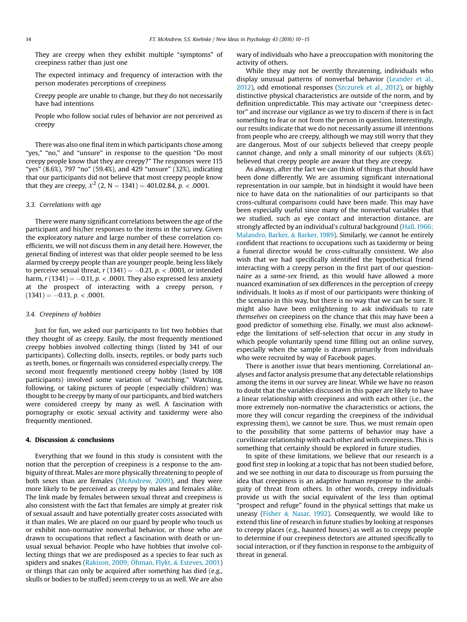They are creepy when they exhibit multiple "symptoms" of creepiness rather than just one

The expected intimacy and frequency of interaction with the person moderates perceptions of creepiness

Creepy people are unable to change, but they do not necessarily have bad intentions

People who follow social rules of behavior are not perceived as creepy

There was also one final item in which participants chose among "yes," "no," and "unsure" in response to the question "Do most creepy people know that they are creepy?" The responses were 115 "yes" (8.6%), 797 "no" (59.4%), and 429 "unsure" (32%), indicating that our participants did not believe that most creepy people know that they are creepy,  $X^2$  (2, N = 1341) = 401.02.84, p. < .0001.

### *3.3. Correlations with age*

There were many significant correlations between the age of the participant and his/her responses to the items in the survey. Given the exploratory nature and large number of these correlation coefficients, we will not discuss them in any detail here. However, the general finding of interest was that older people seemed to be less alarmed by creepy people than are younger people, being less likely to perceive sexual threat,  $r(1341) = -0.21$ ,  $p. < .0001$ , or intended harm,  $r(1341) = -0.11$ ,  $p. < .0001$ . They also expressed less anxiety at the prospect of interacting with a creepy person, *r*  $(1341) = -0.13$ ,  $p. < 0.001$ .

#### *3.4. Creepiness of hobbies*

Just for fun, we asked our participants to list two hobbies that they thought of as creepy. Easily, the most frequently mentioned creepy hobbies involved collecting things (listed by 341 of our participants). Collecting dolls, insects, reptiles, or body parts such as teeth, bones, or fingernails was considered especially creepy. The second most frequently mentioned creepy hobby (listed by 108 participants) involved some variation of "watching." Watching, following, or taking pictures of people (especially children) was thought to be creepy by many of our participants, and bird watchers were considered creepy by many as well. A fascination with pornography or exotic sexual activity and taxidermy were also frequently mentioned.

## 4. Discussion & conclusions

Everything that we found in this study is consistent with the notion that the perception of creepiness is a response to the ambiguity of threat. Males are more physically threatening to people of both sexes than are females (McAndrew, 2009), and they were more likely to be perceived as creepy by males and females alike. The link made by females between sexual threat and creepiness is also consistent with the fact that females are simply at greater risk of sexual assault and have potentially greater costs associated with it than males. We are placed on our guard by people who touch us or exhibit non-normative nonverbal behavior, or those who are drawn to occupations that reflect a fascination with death or unusual sexual behavior. People who have hobbies that involve collecting things that we are predisposed as a species to fear such as spiders and snakes (Rakison, 2009; Öhman, Flykt, & Esteves, 2001) or things that can only be acquired after something has died (e.g., skulls or bodies to be stuffed) seem creepy to us as well. We are also wary of individuals who have a preoccupation with monitoring the activity of others.

While they may not be overtly threatening, individuals who display unusual patterns of nonverbal behavior (Leander et al., 2012), odd emotional responses (Szczurek et al., 2012), or highly distinctive physical characteristics are outside of the norm, and by definition unpredictable. This may activate our "creepiness detector" and increase our vigilance as we try to discern if there is in fact something to fear or not from the person in question. Interestingly, our results indicate that we do not necessarily assume ill intentions from people who are creepy, although we may still worry that they are dangerous. Most of our subjects believed that creepy people cannot change, and only a small minority of our subjects (8.6%) believed that creepy people are aware that they are creepy.

As always, after the fact we can think of things that should have been done differently. We are assuming significant international representation in our sample, but in hindsight it would have been nice to have data on the nationalities of our participants so that cross-cultural comparisons could have been made. This may have been especially useful since many of the nonverbal variables that we studied, such as eye contact and interaction distance, are strongly affected by an individual's cultural background (Hall, 1966; Malandro, Barker, & Barker, 1989). Similarly, we cannot be entirely confident that reactions to occupations such as taxidermy or being a funeral director would be cross-culturally consistent. We also wish that we had specifically identified the hypothetical friend interacting with a creepy person in the first part of our questionnaire as a *same-sex* friend, as this would have allowed a more nuanced examination of sex differences in the perception of creepy individuals. It looks as if most of our participants were thinking of the scenario in this way, but there is no way that we can be sure. It might also have been enlightening to ask individuals to rate *themselves* on creepiness on the chance that this may have been a good predictor of something else. Finally, we must also acknowledge the limitations of self-selection that occur in any study in which people voluntarily spend time filling out an online survey, especially when the sample is drawn primarily from individuals who were recruited by way of Facebook pages.

There is another issue that bears mentioning. Correlational analyses and factor analysis presume that any detectable relationships among the items in our survey are linear. While we have no reason to doubt that the variables discussed in this paper are likely to have a linear relationship with creepiness and with each other (i.e., the more extremely non-normative the characteristics or actions, the more they will concur regarding the creepiness of the individual expressing them), we cannot be sure. Thus, we must remain open to the possibility that some patterns of behavior may have a curvilinear relationship with each other and with creepiness. This is something that certainly should be explored in future studies.

In spite of these limitations, we believe that our research is a good first step in looking at a topic that has not been studied before, and we see nothing in our data to discourage us from pursuing the idea that creepiness is an adaptive human response to the ambiguity of threat from others. In other words, creepy individuals provide us with the social equivalent of the less than optimal "prospect and refuge" found in the physical settings that make us uneasy (Fisher  $&$  Nasar, 1992). Consequently, we would like to extend this line of research in future studies by looking at responses to creepy places (e.g., haunted houses) as well as to creepy people to determine if our creepiness detectors are attuned specifically to social interaction, or if they function in response to the ambiguity of threat in general.